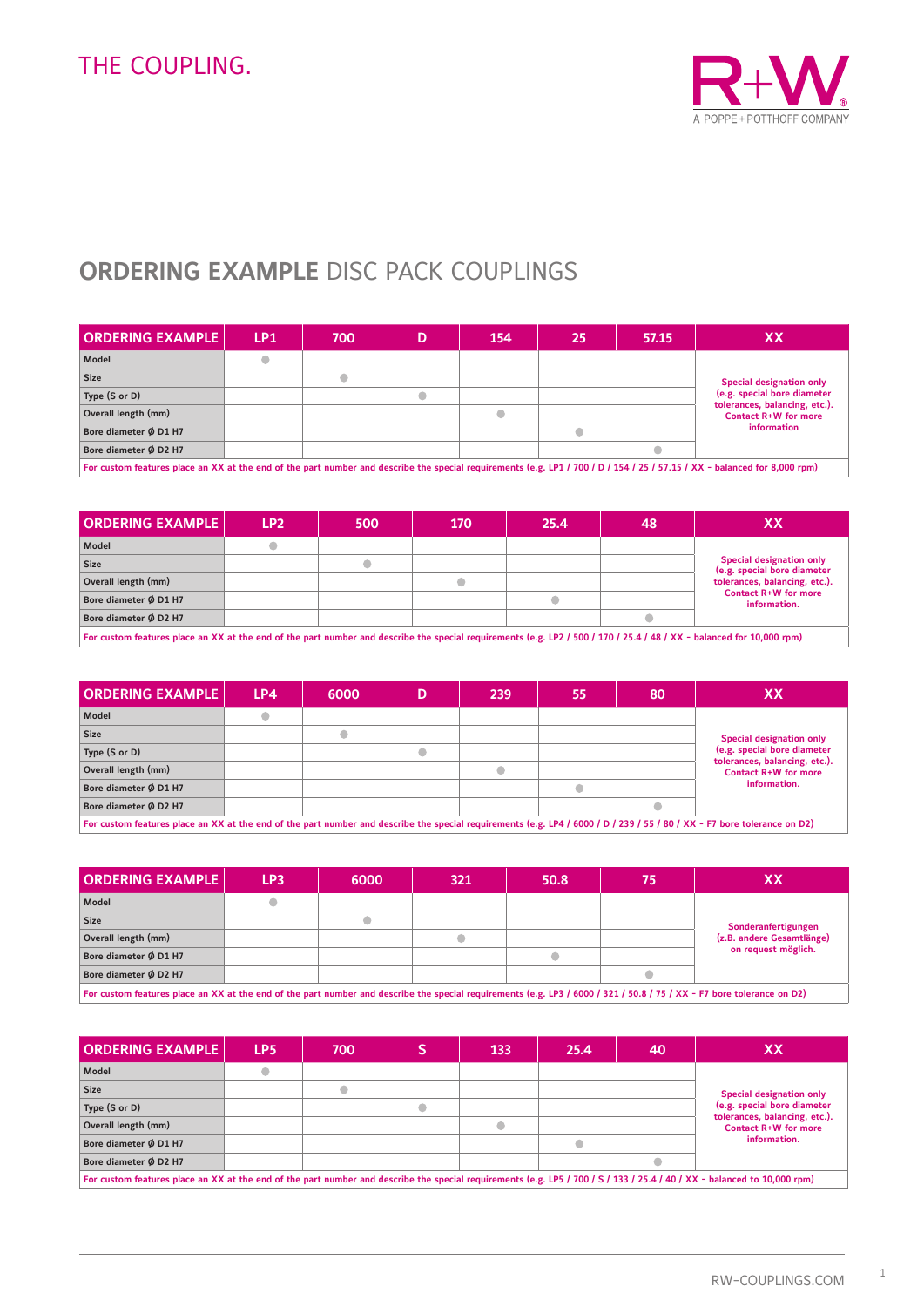

## **ORDERING EXAMPLE** DISC PACK COUPLINGS

| <b>ORDERING EXAMPLE</b><br>LP1 | 700 | 154 | 25 | 57.15 | XХ                                                                          |  |  |
|--------------------------------|-----|-----|----|-------|-----------------------------------------------------------------------------|--|--|
|                                |     |     |    |       |                                                                             |  |  |
|                                |     |     |    |       |                                                                             |  |  |
|                                |     |     |    |       | Special designation only<br>(e.g. special bore diameter                     |  |  |
|                                |     |     |    |       | tolerances, balancing, etc.).<br><b>Contact R+W for more</b><br>information |  |  |
|                                |     |     |    |       |                                                                             |  |  |
|                                |     |     |    |       |                                                                             |  |  |
|                                |     |     |    |       |                                                                             |  |  |

**For custom features place an XX at the end of the part number and describe the special requirements (e.g. LP1 / 700 / D / 154 / 25 / 57.15 / XX - balanced for 8,000 rpm)**

| <b>ORDERING EXAMPLE</b>                                                                                                                                               | LP <sub>2</sub> | 500 | 170 | 25.4 | 48 | ХX                                                                                              |  |  |  |
|-----------------------------------------------------------------------------------------------------------------------------------------------------------------------|-----------------|-----|-----|------|----|-------------------------------------------------------------------------------------------------|--|--|--|
| Model                                                                                                                                                                 |                 |     |     |      |    |                                                                                                 |  |  |  |
| <b>Size</b>                                                                                                                                                           |                 |     |     |      |    | <b>Special designation only</b><br>(e.g. special bore diameter<br>tolerances, balancing, etc.). |  |  |  |
| Overall length (mm)                                                                                                                                                   |                 |     |     |      |    |                                                                                                 |  |  |  |
| Bore diameter Ø D1 H7                                                                                                                                                 |                 |     |     |      |    | Contact R+W for more<br>information.                                                            |  |  |  |
| Bore diameter Ø D2 H7                                                                                                                                                 |                 |     |     |      |    |                                                                                                 |  |  |  |
| For custom features place an XX at the end of the part number and describe the special requirements (e.g. LP2 / 500 / 170 / 25.4 / 48 / XX - balanced for 10,000 rpm) |                 |     |     |      |    |                                                                                                 |  |  |  |

| <b>ORDERING EXAMPLE</b>                                                                                                                                                  | LP4 | 6000 | 239 | 55 | 80 | XХ                                                           |  |  |  |  |
|--------------------------------------------------------------------------------------------------------------------------------------------------------------------------|-----|------|-----|----|----|--------------------------------------------------------------|--|--|--|--|
| Model                                                                                                                                                                    |     |      |     |    |    |                                                              |  |  |  |  |
| <b>Size</b>                                                                                                                                                              |     |      |     |    |    | <b>Special designation only</b>                              |  |  |  |  |
| Type (S or D)                                                                                                                                                            |     |      |     |    |    | (e.g. special bore diameter                                  |  |  |  |  |
| Overall length (mm)                                                                                                                                                      |     |      |     |    |    | tolerances, balancing, etc.).<br><b>Contact R+W for more</b> |  |  |  |  |
| Bore diameter Ø D1 H7                                                                                                                                                    |     |      |     |    |    | information.                                                 |  |  |  |  |
| Bore diameter Ø D2 H7                                                                                                                                                    |     |      |     |    |    |                                                              |  |  |  |  |
| For custom features place an XX at the end of the part number and describe the special requirements (e.g. LP4 / 6000 / D / 239 / 55 / 80 / XX - F7 bore tolerance on D2) |     |      |     |    |    |                                                              |  |  |  |  |

| <b>ORDERING EXAMPLE  </b>                                                                                                                                              | LP3 | 6000 | 321 | 50.8 | 75 | XХ                        |  |  |  |
|------------------------------------------------------------------------------------------------------------------------------------------------------------------------|-----|------|-----|------|----|---------------------------|--|--|--|
| <b>Model</b>                                                                                                                                                           |     |      |     |      |    |                           |  |  |  |
| <b>Size</b>                                                                                                                                                            |     |      |     |      |    | Sonderanfertigungen       |  |  |  |
| Overall length (mm)                                                                                                                                                    |     |      |     |      |    | (z.B. andere Gesamtlänge) |  |  |  |
| Bore diameter Ø D1 H7                                                                                                                                                  |     |      |     |      |    | on request möglich.       |  |  |  |
| Bore diameter Ø D2 H7                                                                                                                                                  |     |      |     |      |    |                           |  |  |  |
| For custom features place an XX at the end of the part number and describe the special requirements (e.g. LP3 / 6000 / 321 / 50.8 / 75 / XX - F7 bore tolerance on D2) |     |      |     |      |    |                           |  |  |  |

| <b>ORDERING EXAMPLE</b> | LP <sub>5</sub>                                                                                                                                                          | 700 |  | 133 | 25.4 | 40 | XX                                                           |  |  |  |
|-------------------------|--------------------------------------------------------------------------------------------------------------------------------------------------------------------------|-----|--|-----|------|----|--------------------------------------------------------------|--|--|--|
| Model                   |                                                                                                                                                                          |     |  |     |      |    |                                                              |  |  |  |
| <b>Size</b>             |                                                                                                                                                                          |     |  |     |      |    | <b>Special designation only</b>                              |  |  |  |
| Type (S or D)           |                                                                                                                                                                          |     |  |     |      |    | (e.g. special bore diameter                                  |  |  |  |
| Overall length (mm)     |                                                                                                                                                                          |     |  |     |      |    | tolerances, balancing, etc.).<br><b>Contact R+W for more</b> |  |  |  |
| Bore diameter Ø D1 H7   |                                                                                                                                                                          |     |  |     |      |    | information.                                                 |  |  |  |
| Bore diameter Ø D2 H7   |                                                                                                                                                                          |     |  |     |      |    |                                                              |  |  |  |
|                         | For custom features place an XX at the end of the part number and describe the special requirements (e.g. LP5 / 700 / S / 133 / 25.4 / 40 / XX - balanced to 10,000 rpm) |     |  |     |      |    |                                                              |  |  |  |